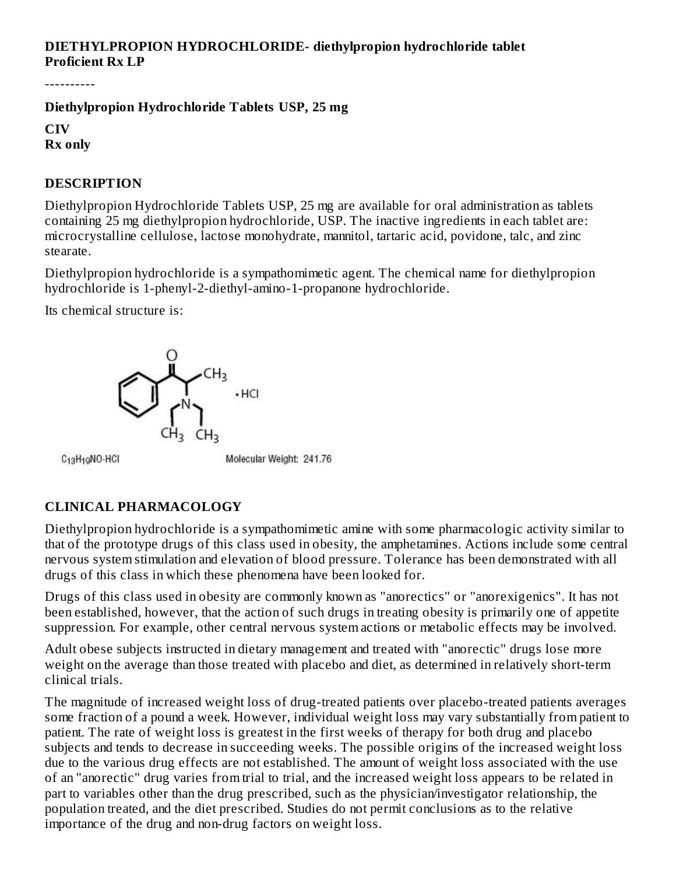# **DIETHYLPROPION HYDROCHLORIDE- diethylpropion hydrochloride tablet Proficient Rx LP**

----------

**Diethylpropion Hydrochloride Tablets USP, 25 mg**

**CIV Rx only**

## **DESCRIPTION**

Diethylpropion Hydrochloride Tablets USP, 25 mg are available for oral administration as tablets containing 25 mg diethylpropion hydrochloride, USP. The inactive ingredients in each tablet are: microcrystalline cellulose, lactose monohydrate, mannitol, tartaric acid, povidone, talc, and zinc stearate.

Diethylpropion hydrochloride is a sympathomimetic agent. The chemical name for diethylpropion hydrochloride is 1-phenyl-2-diethyl-amino-1-propanone hydrochloride.

Its chemical structure is:



C<sub>13</sub>H<sub>19</sub>NO-HCI

Molecular Weight: 241.76

# **CLINICAL PHARMACOLOGY**

Diethylpropion hydrochloride is a sympathomimetic amine with some pharmacologic activity similar to that of the prototype drugs of this class used in obesity, the amphetamines. Actions include some central nervous system stimulation and elevation of blood pressure. Tolerance has been demonstrated with all drugs of this class in which these phenomena have been looked for.

Drugs of this class used in obesity are commonly known as "anorectics" or "anorexigenics". It has not been established, however, that the action of such drugs in treating obesity is primarily one of appetite suppression. For example, other central nervous system actions or metabolic effects may be involved.

Adult obese subjects instructed in dietary management and treated with "anorectic" drugs lose more weight on the average than those treated with placebo and diet, as determined in relatively short-term clinical trials.

The magnitude of increased weight loss of drug-treated patients over placebo-treated patients averages some fraction of a pound a week. However, individual weight loss may vary substantially from patient to patient. The rate of weight loss is greatest in the first weeks of therapy for both drug and placebo subjects and tends to decrease in succeeding weeks. The possible origins of the increased weight loss due to the various drug effects are not established. The amount of weight loss associated with the use of an "anorectic" drug varies from trial to trial, and the increased weight loss appears to be related in part to variables other than the drug prescribed, such as the physician/investigator relationship, the population treated, and the diet prescribed. Studies do not permit conclusions as to the relative importance of the drug and non-drug factors on weight loss.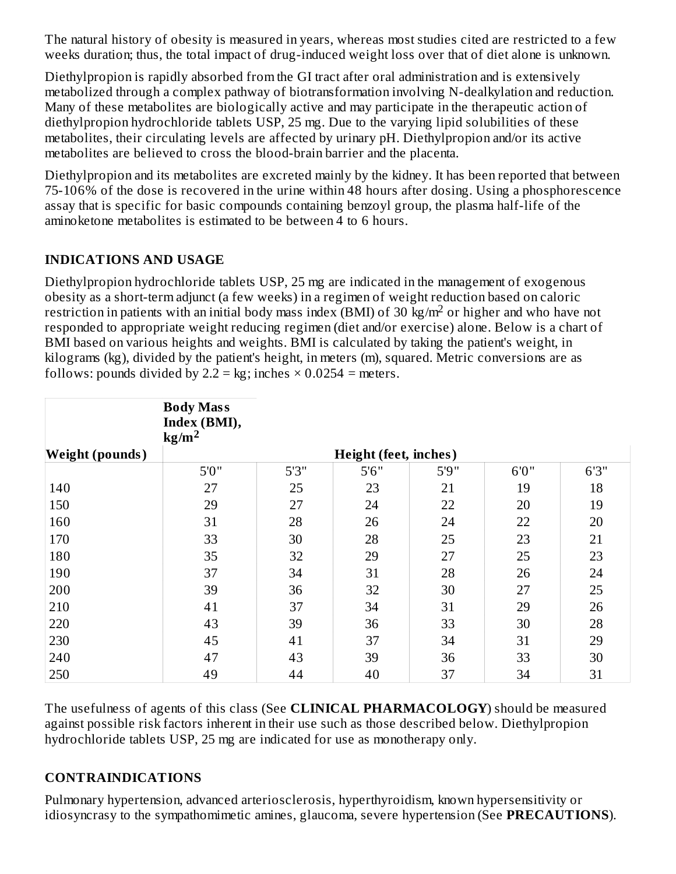The natural history of obesity is measured in years, whereas most studies cited are restricted to a few weeks duration; thus, the total impact of drug-induced weight loss over that of diet alone is unknown.

Diethylpropion is rapidly absorbed from the GI tract after oral administration and is extensively metabolized through a complex pathway of biotransformation involving N-dealkylation and reduction. Many of these metabolites are biologically active and may participate in the therapeutic action of diethylpropion hydrochloride tablets USP, 25 mg. Due to the varying lipid solubilities of these metabolites, their circulating levels are affected by urinary pH. Diethylpropion and/or its active metabolites are believed to cross the blood-brain barrier and the placenta.

Diethylpropion and its metabolites are excreted mainly by the kidney. It has been reported that between 75-106% of the dose is recovered in the urine within 48 hours after dosing. Using a phosphorescence assay that is specific for basic compounds containing benzoyl group, the plasma half-life of the aminoketone metabolites is estimated to be between 4 to 6 hours.

## **INDICATIONS AND USAGE**

Diethylpropion hydrochloride tablets USP, 25 mg are indicated in the management of exogenous obesity as a short-term adjunct (a few weeks) in a regimen of weight reduction based on caloric restriction in patients with an initial body mass index (BMI) of 30  $\text{kg/m}^2$  or higher and who have not responded to appropriate weight reducing regimen (diet and/or exercise) alone. Below is a chart of BMI based on various heights and weights. BMI is calculated by taking the patient's weight, in kilograms (kg), divided by the patient's height, in meters (m), squared. Metric conversions are as follows: pounds divided by  $2.2 = \text{kg}$ ; inches  $\times$  0.0254 = meters.

|                        | <b>Body Mass</b><br>Index (BMI),<br>$\text{kg/m}^2$ |       |       |       |       |      |  |
|------------------------|-----------------------------------------------------|-------|-------|-------|-------|------|--|
| <b>Weight (pounds)</b> | <b>Height (feet, inches)</b>                        |       |       |       |       |      |  |
|                        | 5'0''                                               | 5'3'' | 5'6'' | 5'9'' | 6'0'' | 6'3" |  |
| 140                    | 27                                                  | 25    | 23    | 21    | 19    | 18   |  |
| 150                    | 29                                                  | 27    | 24    | 22    | 20    | 19   |  |
| 160                    | 31                                                  | 28    | 26    | 24    | 22    | 20   |  |
| 170                    | 33                                                  | 30    | 28    | 25    | 23    | 21   |  |
| 180                    | 35                                                  | 32    | 29    | 27    | 25    | 23   |  |
| 190                    | 37                                                  | 34    | 31    | 28    | 26    | 24   |  |
| 200                    | 39                                                  | 36    | 32    | 30    | 27    | 25   |  |
| 210                    | 41                                                  | 37    | 34    | 31    | 29    | 26   |  |
| 220                    | 43                                                  | 39    | 36    | 33    | 30    | 28   |  |
| 230                    | 45                                                  | 41    | 37    | 34    | 31    | 29   |  |
| 240                    | 47                                                  | 43    | 39    | 36    | 33    | 30   |  |
| 250                    | 49                                                  | 44    | 40    | 37    | 34    | 31   |  |

The usefulness of agents of this class (See **CLINICAL PHARMACOLOGY**) should be measured against possible risk factors inherent in their use such as those described below. Diethylpropion hydrochloride tablets USP, 25 mg are indicated for use as monotherapy only.

## **CONTRAINDICATIONS**

Pulmonary hypertension, advanced arteriosclerosis, hyperthyroidism, known hypersensitivity or idiosyncrasy to the sympathomimetic amines, glaucoma, severe hypertension (See **PRECAUTIONS**).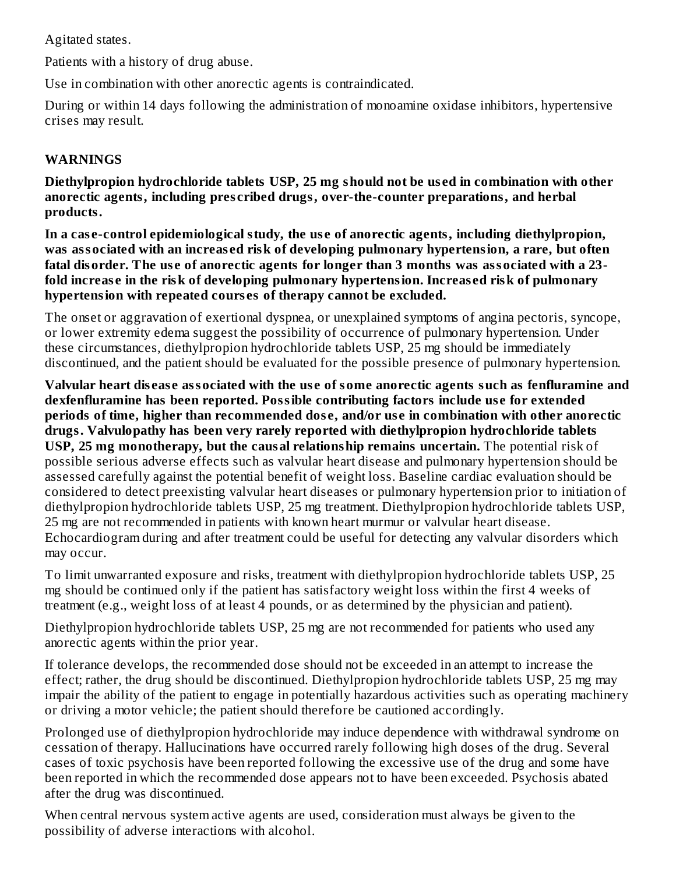Agitated states.

Patients with a history of drug abuse.

Use in combination with other anorectic agents is contraindicated.

During or within 14 days following the administration of monoamine oxidase inhibitors, hypertensive crises may result.

# **WARNINGS**

**Diethylpropion hydrochloride tablets USP, 25 mg should not be us ed in combination with other anorectic agents, including pres cribed drugs, over-the-counter preparations, and herbal products.**

**In a cas e-control epidemiological study, the us e of anorectic agents, including diethylpropion, was associated with an increas ed risk of developing pulmonary hypertension, a rare, but often fatal disorder. The us e of anorectic agents for longer than 3 months was associated with a 23 fold increas e in the risk of developing pulmonary hypertension. Increas ed risk of pulmonary hypertension with repeated cours es of therapy cannot be excluded.**

The onset or aggravation of exertional dyspnea, or unexplained symptoms of angina pectoris, syncope, or lower extremity edema suggest the possibility of occurrence of pulmonary hypertension. Under these circumstances, diethylpropion hydrochloride tablets USP, 25 mg should be immediately discontinued, and the patient should be evaluated for the possible presence of pulmonary hypertension.

Valvular heart disease associated with the use of some anorectic agents such as fenfluramine and **dexfenfluramine has been reported. Possible contributing factors include us e for extended periods of time, higher than recommended dos e, and/or us e in combination with other anorectic drugs. Valvulopathy has been very rarely reported with diethylpropion hydrochloride tablets USP, 25 mg monotherapy, but the causal relationship remains uncertain.** The potential risk of possible serious adverse effects such as valvular heart disease and pulmonary hypertension should be assessed carefully against the potential benefit of weight loss. Baseline cardiac evaluation should be considered to detect preexisting valvular heart diseases or pulmonary hypertension prior to initiation of diethylpropion hydrochloride tablets USP, 25 mg treatment. Diethylpropion hydrochloride tablets USP, 25 mg are not recommended in patients with known heart murmur or valvular heart disease. Echocardiogram during and after treatment could be useful for detecting any valvular disorders which may occur.

To limit unwarranted exposure and risks, treatment with diethylpropion hydrochloride tablets USP, 25 mg should be continued only if the patient has satisfactory weight loss within the first 4 weeks of treatment (e.g., weight loss of at least 4 pounds, or as determined by the physician and patient).

Diethylpropion hydrochloride tablets USP, 25 mg are not recommended for patients who used any anorectic agents within the prior year.

If tolerance develops, the recommended dose should not be exceeded in an attempt to increase the effect; rather, the drug should be discontinued. Diethylpropion hydrochloride tablets USP, 25 mg may impair the ability of the patient to engage in potentially hazardous activities such as operating machinery or driving a motor vehicle; the patient should therefore be cautioned accordingly.

Prolonged use of diethylpropion hydrochloride may induce dependence with withdrawal syndrome on cessation of therapy. Hallucinations have occurred rarely following high doses of the drug. Several cases of toxic psychosis have been reported following the excessive use of the drug and some have been reported in which the recommended dose appears not to have been exceeded. Psychosis abated after the drug was discontinued.

When central nervous system active agents are used, consideration must always be given to the possibility of adverse interactions with alcohol.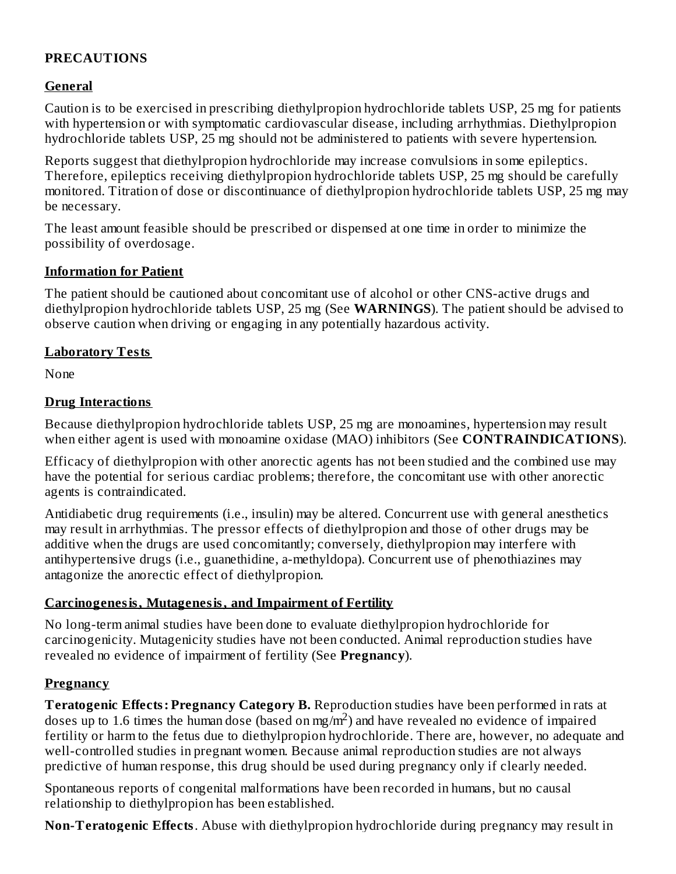# **PRECAUTIONS**

# **General**

Caution is to be exercised in prescribing diethylpropion hydrochloride tablets USP, 25 mg for patients with hypertension or with symptomatic cardiovascular disease, including arrhythmias. Diethylpropion hydrochloride tablets USP, 25 mg should not be administered to patients with severe hypertension.

Reports suggest that diethylpropion hydrochloride may increase convulsions in some epileptics. Therefore, epileptics receiving diethylpropion hydrochloride tablets USP, 25 mg should be carefully monitored. Titration of dose or discontinuance of diethylpropion hydrochloride tablets USP, 25 mg may be necessary.

The least amount feasible should be prescribed or dispensed at one time in order to minimize the possibility of overdosage.

#### **Information for Patient**

The patient should be cautioned about concomitant use of alcohol or other CNS-active drugs and diethylpropion hydrochloride tablets USP, 25 mg (See **WARNINGS**). The patient should be advised to observe caution when driving or engaging in any potentially hazardous activity.

#### **Laboratory Tests**

None

#### **Drug Interactions**

Because diethylpropion hydrochloride tablets USP, 25 mg are monoamines, hypertension may result when either agent is used with monoamine oxidase (MAO) inhibitors (See **CONTRAINDICATIONS**).

Efficacy of diethylpropion with other anorectic agents has not been studied and the combined use may have the potential for serious cardiac problems; therefore, the concomitant use with other anorectic agents is contraindicated.

Antidiabetic drug requirements (i.e., insulin) may be altered. Concurrent use with general anesthetics may result in arrhythmias. The pressor effects of diethylpropion and those of other drugs may be additive when the drugs are used concomitantly; conversely, diethylpropion may interfere with antihypertensive drugs (i.e., guanethidine, a-methyldopa). Concurrent use of phenothiazines may antagonize the anorectic effect of diethylpropion.

## **Carcinogenesis, Mutagenesis, and Impairment of Fertility**

No long-term animal studies have been done to evaluate diethylpropion hydrochloride for carcinogenicity. Mutagenicity studies have not been conducted. Animal reproduction studies have revealed no evidence of impairment of fertility (See **Pregnancy**).

## **Pregnancy**

**Teratogenic Effects: Pregnancy Category B.** Reproduction studies have been performed in rats at doses up to 1.6 times the human dose (based on mg/m<sup>2</sup>) and have revealed no evidence of impaired fertility or harm to the fetus due to diethylpropion hydrochloride. There are, however, no adequate and well-controlled studies in pregnant women. Because animal reproduction studies are not always predictive of human response, this drug should be used during pregnancy only if clearly needed.

Spontaneous reports of congenital malformations have been recorded in humans, but no causal relationship to diethylpropion has been established.

**Non-Teratogenic Effects**. Abuse with diethylpropion hydrochloride during pregnancy may result in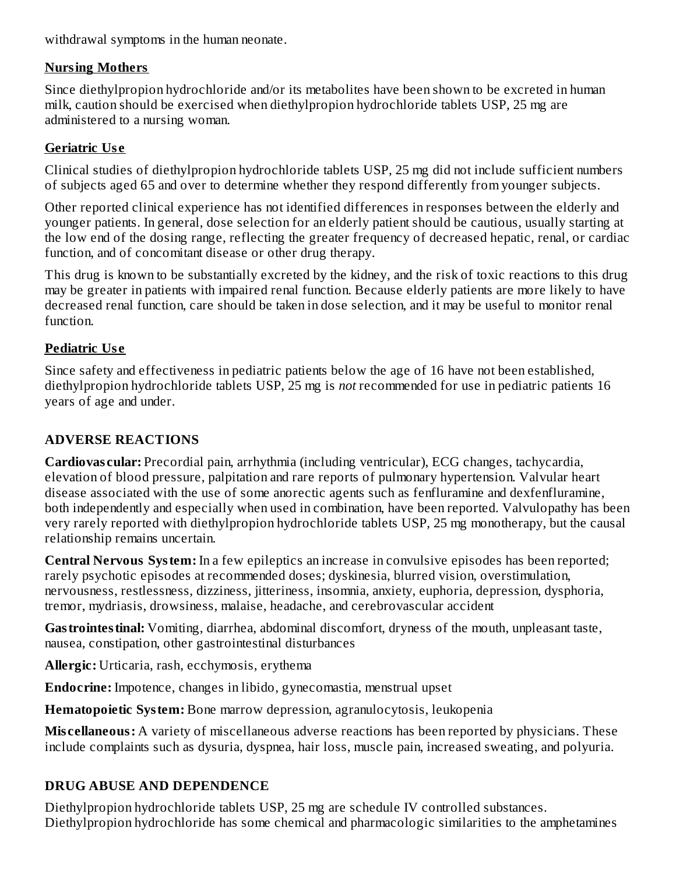withdrawal symptoms in the human neonate.

# **Nursing Mothers**

Since diethylpropion hydrochloride and/or its metabolites have been shown to be excreted in human milk, caution should be exercised when diethylpropion hydrochloride tablets USP, 25 mg are administered to a nursing woman.

# **Geriatric Us e**

Clinical studies of diethylpropion hydrochloride tablets USP, 25 mg did not include sufficient numbers of subjects aged 65 and over to determine whether they respond differently from younger subjects.

Other reported clinical experience has not identified differences in responses between the elderly and younger patients. In general, dose selection for an elderly patient should be cautious, usually starting at the low end of the dosing range, reflecting the greater frequency of decreased hepatic, renal, or cardiac function, and of concomitant disease or other drug therapy.

This drug is known to be substantially excreted by the kidney, and the risk of toxic reactions to this drug may be greater in patients with impaired renal function. Because elderly patients are more likely to have decreased renal function, care should be taken in dose selection, and it may be useful to monitor renal function.

# **Pediatric Us e**

Since safety and effectiveness in pediatric patients below the age of 16 have not been established, diethylpropion hydrochloride tablets USP, 25 mg is *not* recommended for use in pediatric patients 16 years of age and under.

# **ADVERSE REACTIONS**

**Cardiovas cular:** Precordial pain, arrhythmia (including ventricular), ECG changes, tachycardia, elevation of blood pressure, palpitation and rare reports of pulmonary hypertension. Valvular heart disease associated with the use of some anorectic agents such as fenfluramine and dexfenfluramine, both independently and especially when used in combination, have been reported. Valvulopathy has been very rarely reported with diethylpropion hydrochloride tablets USP, 25 mg monotherapy, but the causal relationship remains uncertain.

**Central Nervous System:** In a few epileptics an increase in convulsive episodes has been reported; rarely psychotic episodes at recommended doses; dyskinesia, blurred vision, overstimulation, nervousness, restlessness, dizziness, jitteriness, insomnia, anxiety, euphoria, depression, dysphoria, tremor, mydriasis, drowsiness, malaise, headache, and cerebrovascular accident

**Gastrointestinal:** Vomiting, diarrhea, abdominal discomfort, dryness of the mouth, unpleasant taste, nausea, constipation, other gastrointestinal disturbances

**Allergic:** Urticaria, rash, ecchymosis, erythema

**Endocrine:** Impotence, changes in libido, gynecomastia, menstrual upset

**Hematopoietic System:** Bone marrow depression, agranulocytosis, leukopenia

**Mis cellaneous:** A variety of miscellaneous adverse reactions has been reported by physicians. These include complaints such as dysuria, dyspnea, hair loss, muscle pain, increased sweating, and polyuria.

# **DRUG ABUSE AND DEPENDENCE**

Diethylpropion hydrochloride tablets USP, 25 mg are schedule IV controlled substances. Diethylpropion hydrochloride has some chemical and pharmacologic similarities to the amphetamines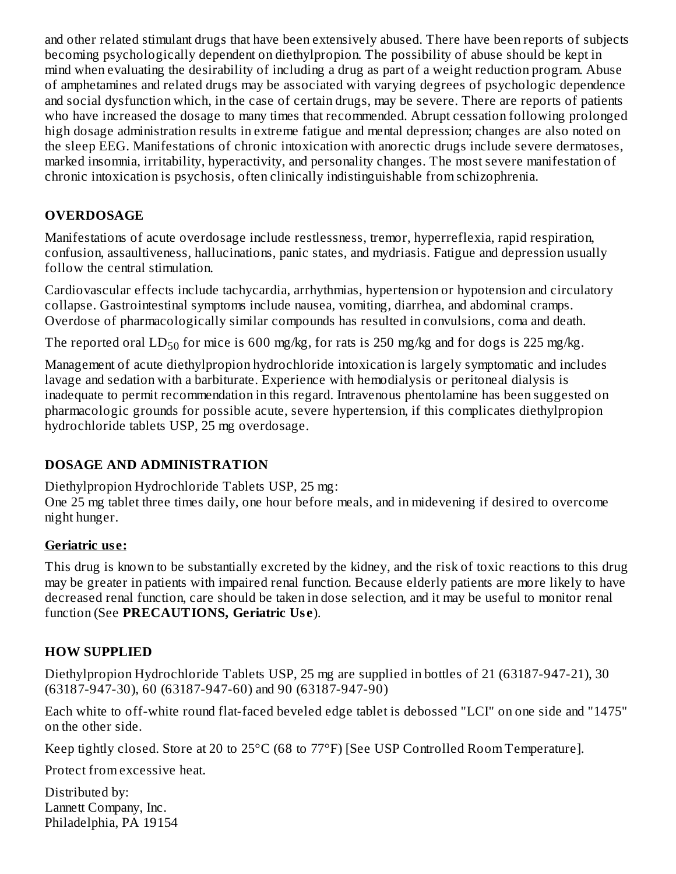and other related stimulant drugs that have been extensively abused. There have been reports of subjects becoming psychologically dependent on diethylpropion. The possibility of abuse should be kept in mind when evaluating the desirability of including a drug as part of a weight reduction program. Abuse of amphetamines and related drugs may be associated with varying degrees of psychologic dependence and social dysfunction which, in the case of certain drugs, may be severe. There are reports of patients who have increased the dosage to many times that recommended. Abrupt cessation following prolonged high dosage administration results in extreme fatigue and mental depression; changes are also noted on the sleep EEG. Manifestations of chronic intoxication with anorectic drugs include severe dermatoses, marked insomnia, irritability, hyperactivity, and personality changes. The most severe manifestation of chronic intoxication is psychosis, often clinically indistinguishable from schizophrenia.

# **OVERDOSAGE**

Manifestations of acute overdosage include restlessness, tremor, hyperreflexia, rapid respiration, confusion, assaultiveness, hallucinations, panic states, and mydriasis. Fatigue and depression usually follow the central stimulation.

Cardiovascular effects include tachycardia, arrhythmias, hypertension or hypotension and circulatory collapse. Gastrointestinal symptoms include nausea, vomiting, diarrhea, and abdominal cramps. Overdose of pharmacologically similar compounds has resulted in convulsions, coma and death.

The reported oral  $LD_{50}$  for mice is 600 mg/kg, for rats is 250 mg/kg and for dogs is 225 mg/kg.

Management of acute diethylpropion hydrochloride intoxication is largely symptomatic and includes lavage and sedation with a barbiturate. Experience with hemodialysis or peritoneal dialysis is inadequate to permit recommendation in this regard. Intravenous phentolamine has been suggested on pharmacologic grounds for possible acute, severe hypertension, if this complicates diethylpropion hydrochloride tablets USP, 25 mg overdosage.

# **DOSAGE AND ADMINISTRATION**

Diethylpropion Hydrochloride Tablets USP, 25 mg: One 25 mg tablet three times daily, one hour before meals, and in midevening if desired to overcome night hunger.

## **Geriatric us e:**

This drug is known to be substantially excreted by the kidney, and the risk of toxic reactions to this drug may be greater in patients with impaired renal function. Because elderly patients are more likely to have decreased renal function, care should be taken in dose selection, and it may be useful to monitor renal function (See **PRECAUTIONS, Geriatric Us e**).

## **HOW SUPPLIED**

Diethylpropion Hydrochloride Tablets USP, 25 mg are supplied in bottles of 21 (63187-947-21), 30 (63187-947-30), 60 (63187-947-60) and 90 (63187-947-90)

Each white to off-white round flat-faced beveled edge tablet is debossed "LCI" on one side and "1475" on the other side.

Keep tightly closed. Store at 20 to 25°C (68 to 77°F) [See USP Controlled Room Temperature].

Protect from excessive heat.

Distributed by: Lannett Company, Inc. Philadelphia, PA 19154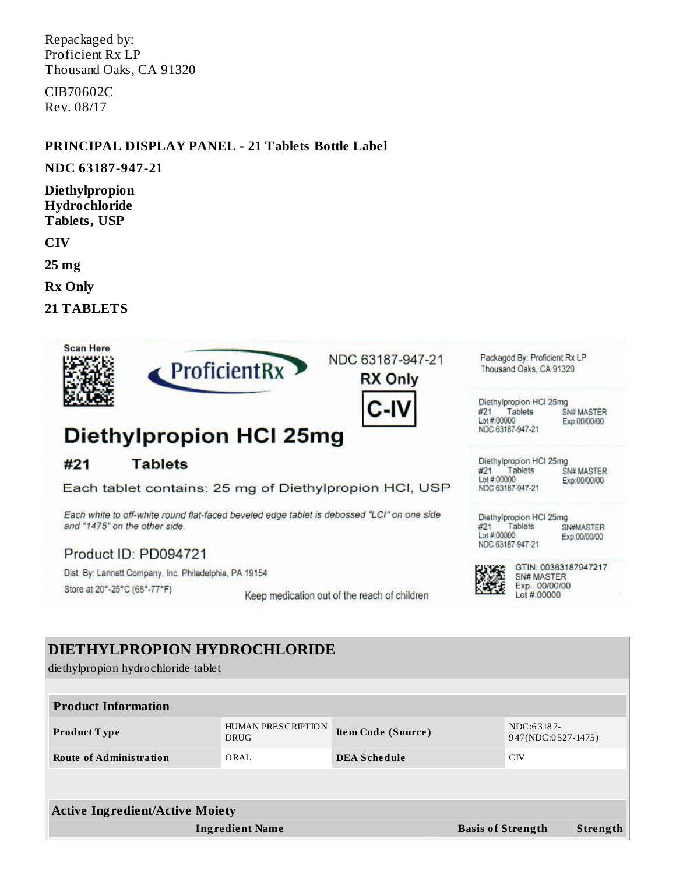Repackaged by: Proficient Rx LP Thousand Oaks, CA 91320

CIB70602C Rev. 08/17

#### **PRINCIPAL DISPLAY PANEL - 21 Tablets Bottle Label**

#### **NDC 63187-947-21**

**Diethylpropion Hydrochloride Tablets, USP**

**CIV**

**25 mg**

**Rx Only**

**21 TABLETS**